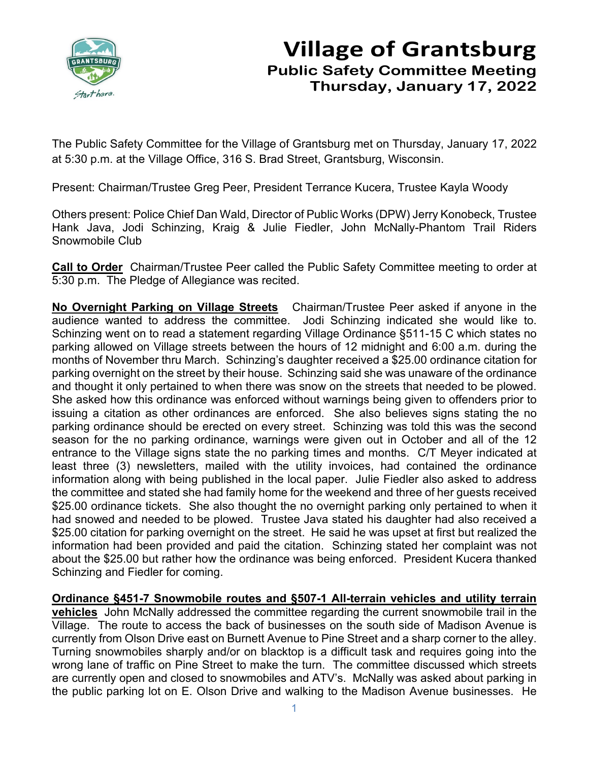

## **Village of Grantsburg Public Safety Committee Meeting Thursday, January 17, 2022**

The Public Safety Committee for the Village of Grantsburg met on Thursday, January 17, 2022 at 5:30 p.m. at the Village Office, 316 S. Brad Street, Grantsburg, Wisconsin.

Present: Chairman/Trustee Greg Peer, President Terrance Kucera, Trustee Kayla Woody

Others present: Police Chief Dan Wald, Director of Public Works (DPW) Jerry Konobeck, Trustee Hank Java, Jodi Schinzing, Kraig & Julie Fiedler, John McNally-Phantom Trail Riders Snowmobile Club

**Call to Order** Chairman/Trustee Peer called the Public Safety Committee meeting to order at 5:30 p.m. The Pledge of Allegiance was recited.

**No Overnight Parking on Village Streets** Chairman/Trustee Peer asked if anyone in the audience wanted to address the committee. Jodi Schinzing indicated she would like to. Schinzing went on to read a statement regarding Village Ordinance §511-15 C which states no parking allowed on Village streets between the hours of 12 midnight and 6:00 a.m. during the months of November thru March. Schinzing's daughter received a \$25.00 ordinance citation for parking overnight on the street by their house. Schinzing said she was unaware of the ordinance and thought it only pertained to when there was snow on the streets that needed to be plowed. She asked how this ordinance was enforced without warnings being given to offenders prior to issuing a citation as other ordinances are enforced. She also believes signs stating the no parking ordinance should be erected on every street. Schinzing was told this was the second season for the no parking ordinance, warnings were given out in October and all of the 12 entrance to the Village signs state the no parking times and months. C/T Meyer indicated at least three (3) newsletters, mailed with the utility invoices, had contained the ordinance information along with being published in the local paper. Julie Fiedler also asked to address the committee and stated she had family home for the weekend and three of her guests received \$25.00 ordinance tickets. She also thought the no overnight parking only pertained to when it had snowed and needed to be plowed. Trustee Java stated his daughter had also received a \$25.00 citation for parking overnight on the street. He said he was upset at first but realized the information had been provided and paid the citation. Schinzing stated her complaint was not about the \$25.00 but rather how the ordinance was being enforced. President Kucera thanked Schinzing and Fiedler for coming.

**Ordinance §451-7 Snowmobile routes and §507-1 All-terrain vehicles and utility terrain** 

**vehicles** John McNally addressed the committee regarding the current snowmobile trail in the Village. The route to access the back of businesses on the south side of Madison Avenue is currently from Olson Drive east on Burnett Avenue to Pine Street and a sharp corner to the alley. Turning snowmobiles sharply and/or on blacktop is a difficult task and requires going into the wrong lane of traffic on Pine Street to make the turn. The committee discussed which streets are currently open and closed to snowmobiles and ATV's. McNally was asked about parking in the public parking lot on E. Olson Drive and walking to the Madison Avenue businesses. He